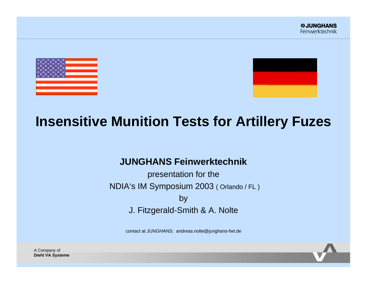



# **Insensitive Munition Tests for Artillery Fuzes**

## **JUNGHANS Feinwerktechnik**

presentation for the NDIA's IM Symposium 2003 ( Orlando / FL ) by J. Fitzgerald-Smith & A. Nolte

contact at JUNGHANS: andreas.nolte@junghans-fwt.de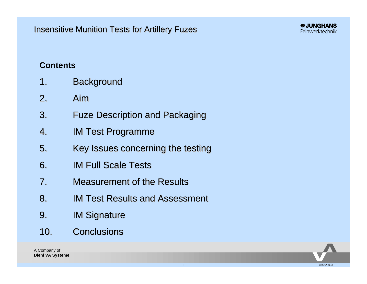## **Contents**

- 1. Background
- 2. Aim
- 3. Fuze Description and Packaging
- 4. IM Test Programme
- 5. Key Issues concerning the testing
- 6. IM Full Scale Tests
- 7. Measurement of the Results
- 8. IM Test Results and Assessment
- 9. IM Signature
- 10. Conclusions

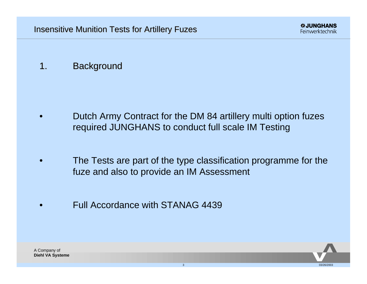## 1. Background

- Dutch Army Contract for the DM 84 artillery multi option fuzes required JUNGHANS to conduct full scale IM Testing
- The Tests are part of the type classification programme for the fuze and also to provide an IM Assessment
- Full Accordance with STANAG 4439

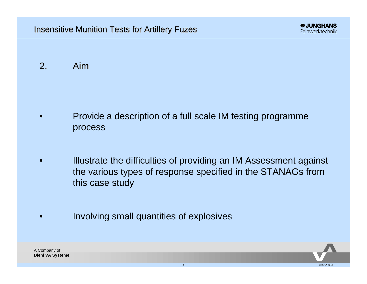2. Aim

- Provide a description of a full scale IM testing programme process
- Illustrate the difficulties of providing an IM Assessment against the various types of response specified in the STANAGs from this case study
- Involving small quantities of explosives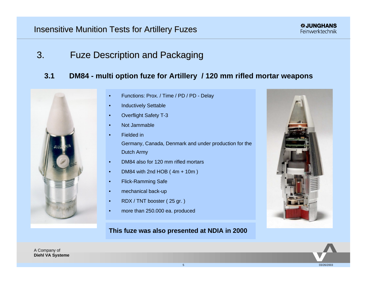3. Fuze Description and Packaging

## **3.1 DM84 - multi option fuze for Artillery / 120 mm rifled mortar weapons**



- Functions: Prox. / Time / PD / PD Delay
- Inductively Settable
- Overflight Safety T-3
- Not Jammable
	- Fielded in Germany, Canada, Denmark and under production for the Dutch Army
- DM84 also for 120 mm rifled mortars
- DM84 with 2nd HOB ( 4m + 10m )
- Flick-Ramming Safe
- mechanical back-up
- RDX / TNT booster ( 25 gr. )
- more than 250.000 ea. produced

#### **This fuze was also presented at NDIA in 2000**



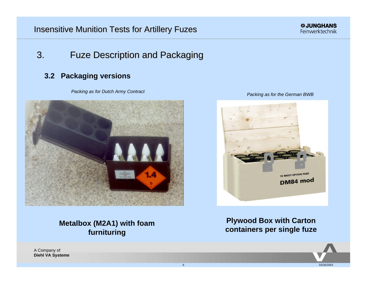## 3. Fuze Description and Packaging

### **3.2 Packaging versions**

*Packing as for Dutch Army Contract*







## **Metalbox (M2A1) with foam furnituring**

**Plywood Box with Carton containers per single fuze**

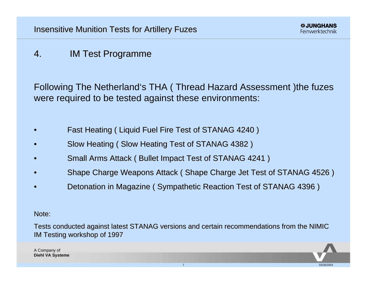# 4. IM Test Programme

Following The Netherland's THA ( Thread Hazard Assessment )the fuzes were required to be tested against these environments:

- Fast Heating ( Liquid Fuel Fire Test of STANAG 4240 )
- Slow Heating ( Slow Heating Test of STANAG 4382 )
- Small Arms Attack ( Bullet Impact Test of STANAG 4241 )
- Shape Charge Weapons Attack ( Shape Charge Jet Test of STANAG 4526 )
- Detonation in Magazine ( Sympathetic Reaction Test of STANAG 4396 )

Note:

Tests conducted against latest STANAG versions and certain recommendations from the NIMIC IM Testing workshop of 1997

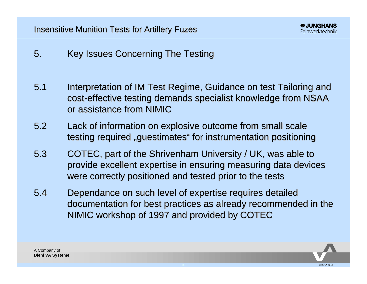- 5. Key Issues Concerning The Testing
- 5.1 Interpretation of IM Test Regime, Guidance on test Tailoring and cost-effective testing demands specialist knowledge from NSAA or assistance from NIMIC
- 5.2 Lack of information on explosive outcome from small scale testing required "guestimates" for instrumentation positioning
- 5.3 COTEC, part of the Shrivenham University / UK, was able to provide excellent expertise in ensuring measuring data devices were correctly positioned and tested prior to the tests
- 5.4 Dependance on such level of expertise requires detailed documentation for best practices as already recommended in the NIMIC workshop of 1997 and provided by COTEC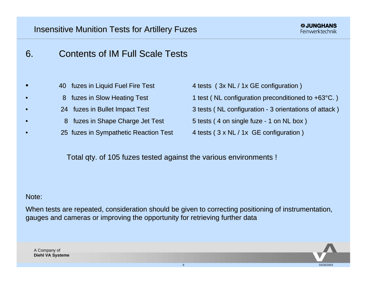# 6. Contents of IM Full Scale Tests

- 40 fuzes in Liquid Fuel Fire Test 4 tests (3x NL / 1x GE configuration)
	-
	- -
		- 25 fuzes in Sympathetic Reaction Test 4 tests (3 x NL / 1x GE configuration)

- 8 fuzes in Slow Heating Test 1 test ( NL configuration preconditioned to +63<sup>°</sup>C. )
- 24 fuzes in Bullet Impact Test 3 tests (NL configuration 3 orientations of attack)
	- 8 fuzes in Shape Charge Jet Test 5 tests (4 on single fuze 1 on NL box)
		-

Total qty. of 105 fuzes tested against the various environments !

#### Note:

When tests are repeated, consideration should be given to correcting positioning of instrumentation, gauges and cameras or improving the opportunity for retrieving further data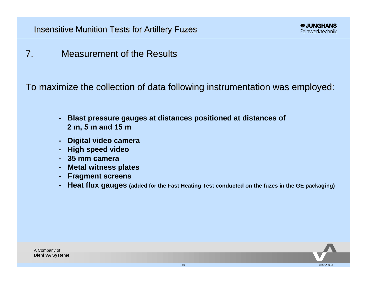7. Measurement of the Results

To maximize the collection of data following instrumentation was employed:

- **Blast pressure gauges at distances positioned at distances of 2 m, 5 m and 15 m**
- **Digital video camera**
- **High speed video**
- **35 mm camera**
- **Metal witness plates**
- **Fragment screens**
- **Heat flux gauges (added for the Fast Heating Test conducted on the fuzes in the GE packaging)**

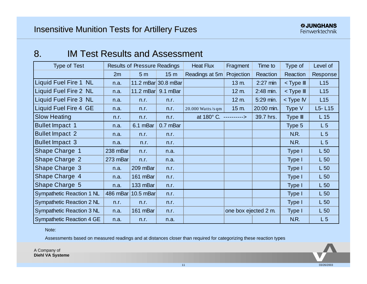## 8. IM Test Results and Assessment

| <b>Type of Test</b>              | <b>Results of Pressure Readings</b> |                            |                     | <b>Heat Flux</b>       | Fragment             | Time to    | Type of                                 | Level of        |
|----------------------------------|-------------------------------------|----------------------------|---------------------|------------------------|----------------------|------------|-----------------------------------------|-----------------|
|                                  | 2m                                  | 5 <sub>m</sub>             | 15 <sub>m</sub>     | Readings at 5m         | Projection           | Reaction   | Reaction                                | Response        |
| Liquid Fuel Fire 1 NL            | n.a.                                |                            | 11.2 mBar 30.8 mBar |                        | 13 m.                | $2:27$ min | <type iii<="" td=""><td>L15</td></type> | L15             |
| Liquid Fuel Fire 2 NL            | n.a.                                | 11.2 mBar $\vert$ 9.1 mBar |                     |                        | 12 m.                | 2:48 min.  | <type iii<="" td=""><td>L15</td></type> | L15             |
| <b>Liquid Fuel Fire 3 NL</b>     | n.a.                                | n.r.                       | n.r.                |                        | 12 m.                | 5:29 min.  | $<$ Type IV                             | L15             |
| Liquid Fuel Fire 4 GE            | n.a.                                | n.r.                       | n.r.                | $20.000$ Watts/sqm     | 15 m.                | 20:00 min. | Type V                                  | $L5 - L15$      |
| <b>Slow Heating</b>              | n.r.                                | n.r.                       | n.r.                | at 180° C. ----------> |                      | 39.7 hrs.  | Type III                                | L <sub>15</sub> |
| <b>Bullet Impact 1</b>           | n.a.                                | 6.1 mBar                   | 0.7 mBar            |                        |                      |            | Type 5                                  | L5              |
| <b>Bullet Impact 2</b>           | n.a.                                | n.r.                       | n.r.                |                        |                      |            | N.R.                                    | L <sub>5</sub>  |
| <b>Bullet Impact 3</b>           | n.a.                                | n.r.                       | n.r.                |                        |                      |            | N.R.                                    | L5              |
| Shape Charge 1                   | 238 $mBar$                          | n.r.                       | n.a.                |                        |                      |            | Type I                                  | L <sub>50</sub> |
| <b>Shape Charge 2</b>            | 273 $mBar$                          | n.r.                       | n.a.                |                        |                      |            | Type I                                  | L <sub>50</sub> |
| Shape Charge 3                   | n.a.                                | 209 mBar                   | n.r.                |                        |                      |            | Type I                                  | $L_{50}$        |
| Shape Charge 4                   | n.a.                                | 161 mBar                   | n.r.                |                        |                      |            | Type I                                  | L <sub>50</sub> |
| Shape Charge 5                   | n.a.                                | 133 mBar                   | n.r.                |                        |                      |            | Type I                                  | L <sub>50</sub> |
| Sympathetic Reaction 1 NL        |                                     | 486 mBar 10.5 mBar         | n.r.                |                        |                      |            | Type I                                  | L <sub>50</sub> |
| Sympathetic Reaction 2 NL        | n.r.                                | n.r.                       | n.r.                |                        |                      |            | Type I                                  | $L_{50}$        |
| Sympathetic Reaction 3 NL        | n.a.                                | 161 mBar                   | n.r.                |                        | one box ejected 2 m. |            | Type I                                  | L <sub>50</sub> |
| <b>Sympathetic Reaction 4 GE</b> | n.a.                                | n.r.                       | n.a.                |                        |                      |            | N.R.                                    | L <sub>5</sub>  |

Note:

Assessments based on measured readings and at distances closer than required for categorizing these reaction types

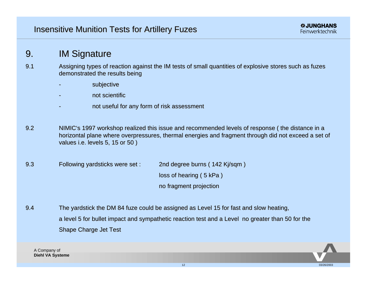## 9. IM Signature

- 9.1 Assigning types of reaction against the IM tests of small quantities of explosive stores such as fuzes demonstrated the results being
	- subjective
	- not scientific
	- not useful for any form of risk assessment
- 9.2 NIMIC's 1997 workshop realized this issue and recommended levels of response ( the distance in a horizontal plane where overpressures, thermal energies and fragment through did not exceed a set of values i.e. levels 5, 15 or 50 )
- 9.3 Following yardsticks were set : 2nd degree burns ( 142 Kj/sqm ) loss of hearing ( 5 kPa ) no fragment projection
- 9.4 The yardstick the DM 84 fuze could be assigned as Level 15 for fast and slow heating, a level 5 for bullet impact and sympathetic reaction test and a Level no greater than 50 for the Shape Charge Jet Test